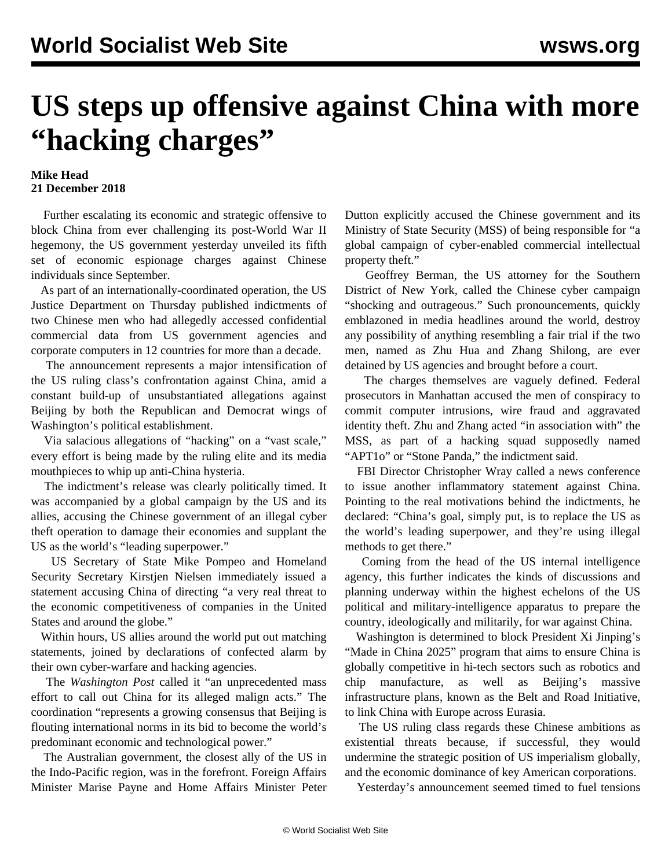## **US steps up offensive against China with more "hacking charges"**

## **Mike Head 21 December 2018**

 Further escalating its economic and strategic offensive to block China from ever challenging its post-World War II hegemony, the US government yesterday unveiled its fifth set of economic espionage charges against Chinese individuals since September.

 As part of an internationally-coordinated operation, the US Justice Department on Thursday published indictments of two Chinese men who had allegedly accessed confidential commercial data from US government agencies and corporate computers in 12 countries for more than a decade.

 The announcement represents a major intensification of the US ruling class's confrontation against China, amid a constant build-up of unsubstantiated allegations against Beijing by both the Republican and Democrat wings of Washington's political establishment.

 Via salacious allegations of "hacking" on a "vast scale," every effort is being made by the ruling elite and its media mouthpieces to whip up anti-China hysteria.

 The indictment's release was clearly politically timed. It was accompanied by a global campaign by the US and its allies, accusing the Chinese government of an illegal cyber theft operation to damage their economies and supplant the US as the world's "leading superpower."

 US Secretary of State Mike Pompeo and Homeland Security Secretary Kirstjen Nielsen immediately issued a statement accusing China of directing "a very real threat to the economic competitiveness of companies in the United States and around the globe."

 Within hours, US allies around the world put out matching statements, joined by declarations of confected alarm by their own cyber-warfare and hacking agencies.

 The *Washington Post* called it "an unprecedented mass effort to call out China for its alleged malign acts." The coordination "represents a growing consensus that Beijing is flouting international norms in its bid to become the world's predominant economic and technological power."

 The Australian government, the closest ally of the US in the Indo-Pacific region, was in the forefront. Foreign Affairs Minister Marise Payne and Home Affairs Minister Peter Dutton explicitly accused the Chinese government and its Ministry of State Security (MSS) of being responsible for "a global campaign of cyber-enabled commercial intellectual property theft."

 Geoffrey Berman, the US attorney for the Southern District of New York, called the Chinese cyber campaign "shocking and outrageous." Such pronouncements, quickly emblazoned in media headlines around the world, destroy any possibility of anything resembling a fair trial if the two men, named as Zhu Hua and Zhang Shilong, are ever detained by US agencies and brought before a court.

 The charges themselves are vaguely defined. Federal prosecutors in Manhattan accused the men of conspiracy to commit computer intrusions, wire fraud and aggravated identity theft. Zhu and Zhang acted "in association with" the MSS, as part of a hacking squad supposedly named "APT1o" or "Stone Panda," the indictment said.

 FBI Director Christopher Wray called a news conference to issue another inflammatory statement against China. Pointing to the real motivations behind the indictments, he declared: "China's goal, simply put, is to replace the US as the world's leading superpower, and they're using illegal methods to get there."

 Coming from the head of the US internal intelligence agency, this further indicates the kinds of discussions and planning underway within the highest echelons of the US political and military-intelligence apparatus to prepare the country, ideologically and militarily, for war against China.

 Washington is determined to block President Xi Jinping's "Made in China 2025" program that aims to ensure China is globally competitive in hi-tech sectors such as robotics and chip manufacture, as well as Beijing's massive infrastructure plans, known as the Belt and Road Initiative, to link China with Europe across Eurasia.

 The US ruling class regards these Chinese ambitions as existential threats because, if successful, they would undermine the strategic position of US imperialism globally, and the economic dominance of key American corporations.

Yesterday's announcement seemed timed to fuel tensions